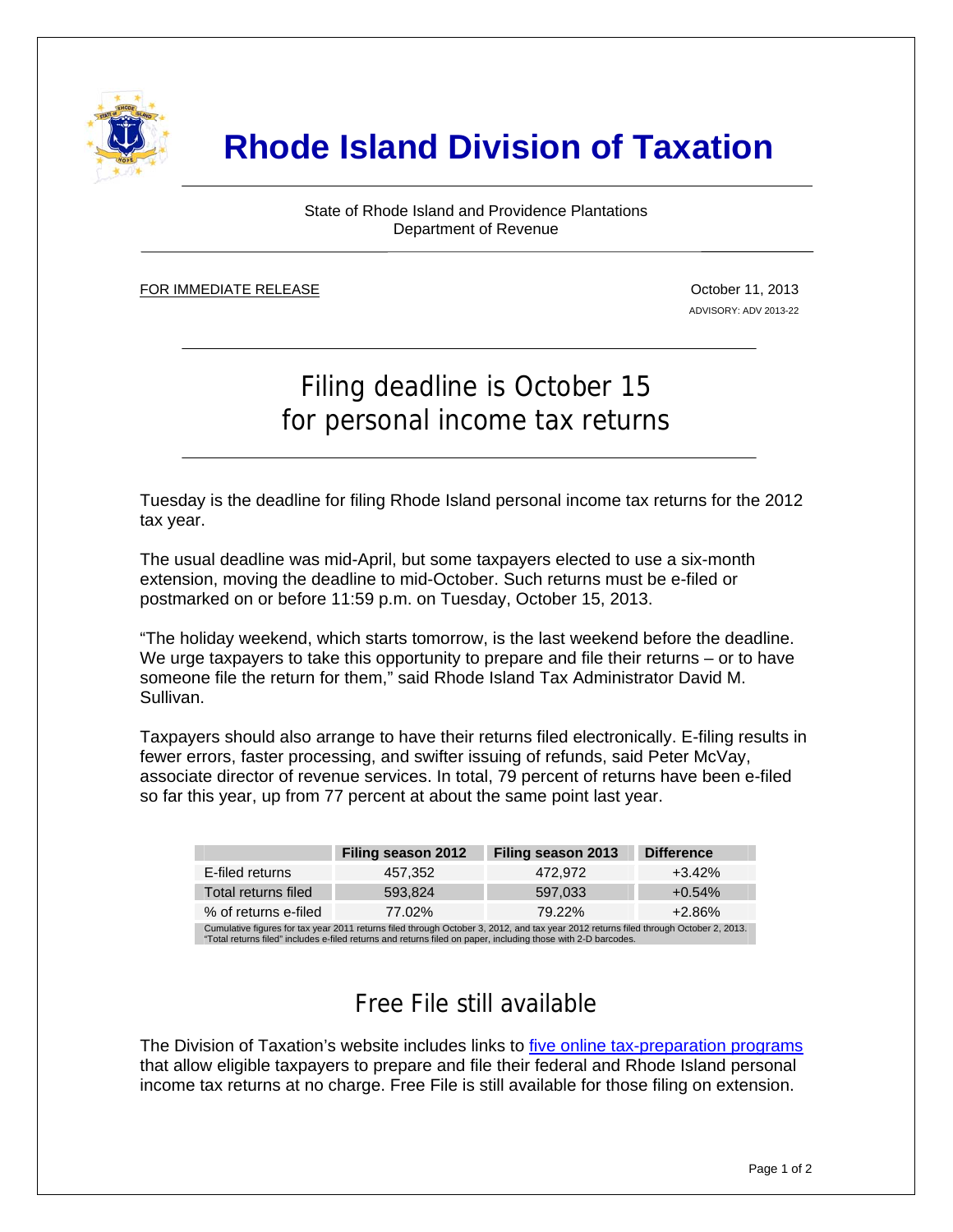

# **Rhode Island Division of Taxation**

State of Rhode Island and Providence Plantations Department of Revenue

FOR IMMEDIATE RELEASE ٦

j

October 11, 2013 ADVISORY: ADV 2013-22

# Filing deadline is October 15 for personal income tax returns

Tuesday is the deadline for filing Rhode Island personal income tax returns for the 2012 tax year.

The usual deadline was mid-April, but some taxpayers elected to use a six-month extension, moving the deadline to mid-October. Such returns must be e-filed or postmarked on or before 11:59 p.m. on Tuesday, October 15, 2013.

"The holiday weekend, which starts tomorrow, is the last weekend before the deadline. We urge taxpayers to take this opportunity to prepare and file their returns – or to have someone file the return for them," said Rhode Island Tax Administrator David M. Sullivan.

Taxpayers should also arrange to have their returns filed electronically. E-filing results in fewer errors, faster processing, and swifter issuing of refunds, said Peter McVay, associate director of revenue services. In total, 79 percent of returns have been e-filed so far this year, up from 77 percent at about the same point last year.

|                                                                                                                                      | Filing season 2012 | Filing season 2013 | <b>Difference</b> |
|--------------------------------------------------------------------------------------------------------------------------------------|--------------------|--------------------|-------------------|
| E-filed returns                                                                                                                      | 457.352            | 472.972            | $+3.42\%$         |
| Total returns filed                                                                                                                  | 593.824            | 597.033            | $+0.54%$          |
| % of returns e-filed                                                                                                                 | 77.02%             | 79.22%             | $+2.86\%$         |
| Cumulative figures for tax year 2011 returns filed through October 3, 2012, and tax year 2012 returns filed through October 2, 2013. |                    |                    |                   |

"Total returns filed" includes e-filed returns and returns filed on paper, including those with 2-D bard

## Free File still available

The Division of Taxation's website includes links to [five online tax-preparation programs](http://www.tax.ri.gov/misc/efile.php) that allow eligible taxpayers to prepare and file their federal and Rhode Island personal income tax returns at no charge. Free File is still available for those filing on extension.